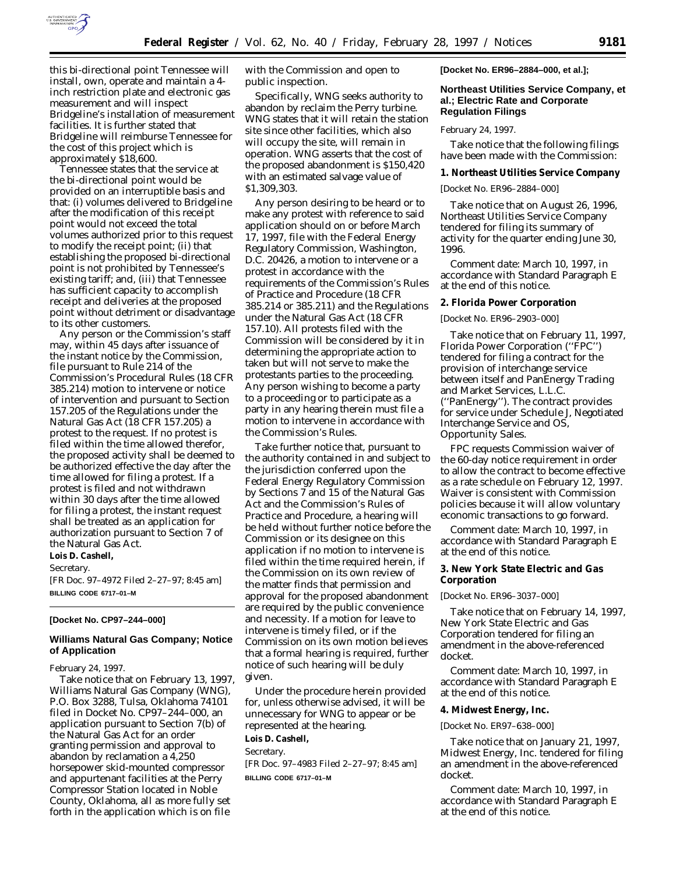

this bi-directional point Tennessee will install, own, operate and maintain a 4 inch restriction plate and electronic gas measurement and will inspect Bridgeline's installation of measurement facilities. It is further stated that Bridgeline will reimburse Tennessee for the cost of this project which is approximately \$18,600.

Tennessee states that the service at the bi-directional point would be provided on an interruptible basis and that: (i) volumes delivered to Bridgeline after the modification of this receipt point would not exceed the total volumes authorized prior to this request to modify the receipt point; (ii) that establishing the proposed bi-directional point is not prohibited by Tennessee's existing tariff; and, (iii) that Tennessee has sufficient capacity to accomplish receipt and deliveries at the proposed point without detriment or disadvantage to its other customers.

Any person or the Commission's staff may, within 45 days after issuance of the instant notice by the Commission, file pursuant to Rule 214 of the Commission's Procedural Rules (18 CFR 385.214) motion to intervene or notice of intervention and pursuant to Section 157.205 of the Regulations under the Natural Gas Act (18 CFR 157.205) a protest to the request. If no protest is filed within the time allowed therefor, the proposed activity shall be deemed to be authorized effective the day after the time allowed for filing a protest. If a protest is filed and not withdrawn within 30 days after the time allowed for filing a protest, the instant request shall be treated as an application for authorization pursuant to Section 7 of the Natural Gas Act.

**Lois D. Cashell,** *Secretary.*

[FR Doc. 97–4972 Filed 2–27–97; 8:45 am] **BILLING CODE 6717–01–M**

### **[Docket No. CP97–244–000]**

## **Williams Natural Gas Company; Notice of Application**

#### February 24, 1997.

Take notice that on February 13, 1997, Williams Natural Gas Company (WNG), P.O. Box 3288, Tulsa, Oklahoma 74101 filed in Docket No. CP97–244–000, an application pursuant to Section 7(b) of the Natural Gas Act for an order granting permission and approval to abandon by reclamation a 4,250 horsepower skid-mounted compressor and appurtenant facilities at the Perry Compressor Station located in Noble County, Oklahoma, all as more fully set forth in the application which is on file

with the Commission and open to public inspection.

Specifically, WNG seeks authority to abandon by reclaim the Perry turbine. WNG states that it will retain the station site since other facilities, which also will occupy the site, will remain in operation. WNG asserts that the cost of the proposed abandonment is \$150,420 with an estimated salvage value of \$1,309,303.

Any person desiring to be heard or to make any protest with reference to said application should on or before March 17, 1997, file with the Federal Energy Regulatory Commission, Washington, D.C. 20426, a motion to intervene or a protest in accordance with the requirements of the Commission's Rules of Practice and Procedure (18 CFR 385.214 or 385.211) and the Regulations under the Natural Gas Act (18 CFR 157.10). All protests filed with the Commission will be considered by it in determining the appropriate action to taken but will not serve to make the protestants parties to the proceeding. Any person wishing to become a party to a proceeding or to participate as a party in any hearing therein must file a motion to intervene in accordance with the Commission's Rules.

Take further notice that, pursuant to the authority contained in and subject to the jurisdiction conferred upon the Federal Energy Regulatory Commission by Sections 7 and 15 of the Natural Gas Act and the Commission's Rules of Practice and Procedure, a hearing will be held without further notice before the Commission or its designee on this application if no motion to intervene is filed within the time required herein, if the Commission on its own review of the matter finds that permission and approval for the proposed abandonment are required by the public convenience and necessity. If a motion for leave to intervene is timely filed, or if the Commission on its own motion believes that a formal hearing is required, further notice of such hearing will be duly given.

Under the procedure herein provided for, unless otherwise advised, it will be unnecessary for WNG to appear or be represented at the hearing.

**Lois D. Cashell,**

*Secretary.*

[FR Doc. 97–4983 Filed 2–27–97; 8:45 am] **BILLING CODE 6717–01–M**

**[Docket No. ER96–2884–000, et al.];**

# **Northeast Utilities Service Company, et al.; Electric Rate and Corporate Regulation Filings**

February 24, 1997.

Take notice that the following filings have been made with the Commission:

**1. Northeast Utilities Service Company**

[Docket No. ER96–2884–000]

Take notice that on August 26, 1996, Northeast Utilities Service Company tendered for filing its summary of activity for the quarter ending June 30, 1996.

*Comment date:* March 10, 1997, in accordance with Standard Paragraph E at the end of this notice.

**2. Florida Power Corporation**

[Docket No. ER96–2903–000]

Take notice that on February 11, 1997, Florida Power Corporation (''FPC'') tendered for filing a contract for the provision of interchange service between itself and PanEnergy Trading and Market Services, L.L.C. (''PanEnergy''). The contract provides for service under Schedule J, Negotiated Interchange Service and OS, Opportunity Sales.

FPC requests Commission waiver of the 60-day notice requirement in order to allow the contract to become effective as a rate schedule on February 12, 1997. Waiver is consistent with Commission policies because it will allow voluntary economic transactions to go forward.

*Comment date:* March 10, 1997, in accordance with Standard Paragraph E at the end of this notice.

**3. New York State Electric and Gas Corporation**

[Docket No. ER96–3037–000]

Take notice that on February 14, 1997, New York State Electric and Gas Corporation tendered for filing an amendment in the above-referenced docket.

*Comment date:* March 10, 1997, in accordance with Standard Paragraph E at the end of this notice.

**4. Midwest Energy, Inc.**

[Docket No. ER97–638–000]

Take notice that on January 21, 1997, Midwest Energy, Inc. tendered for filing an amendment in the above-referenced docket.

*Comment date:* March 10, 1997, in accordance with Standard Paragraph E at the end of this notice.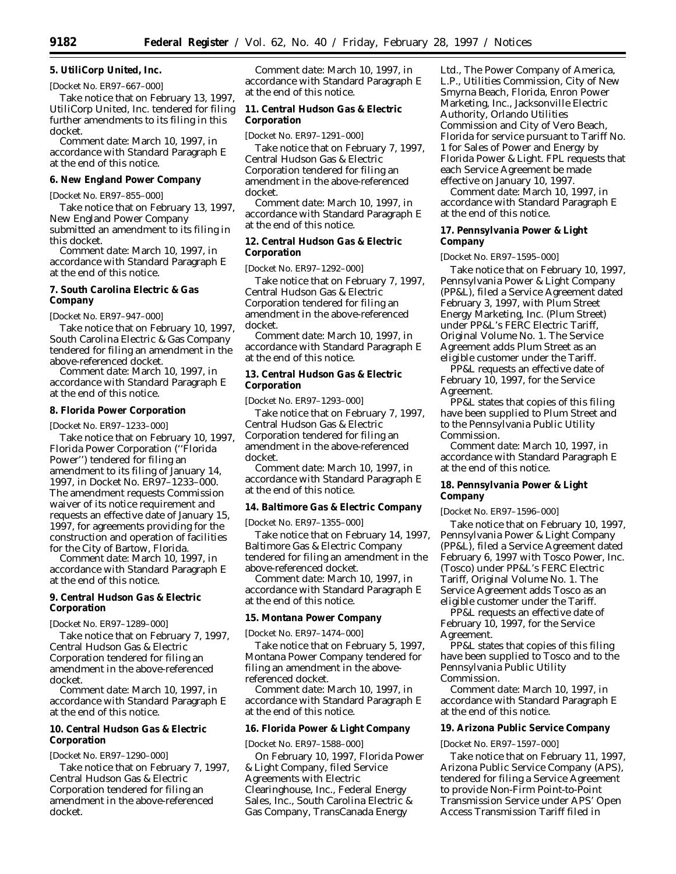**5. UtiliCorp United, Inc.**

[Docket No. ER97–667–000] Take notice that on February 13, 1997, UtiliCorp United, Inc. tendered for filing further amendments to its filing in this

docket. *Comment date:* March 10, 1997, in accordance with Standard Paragraph E at the end of this notice.

### **6. New England Power Company**

[Docket No. ER97–855–000]

Take notice that on February 13, 1997, New England Power Company submitted an amendment to its filing in this docket.

*Comment date:* March 10, 1997, in accordance with Standard Paragraph E at the end of this notice.

# **7. South Carolina Electric & Gas Company**

[Docket No. ER97–947–000]

Take notice that on February 10, 1997, South Carolina Electric & Gas Company tendered for filing an amendment in the above-referenced docket.

*Comment date:* March 10, 1997, in accordance with Standard Paragraph E at the end of this notice.

### **8. Florida Power Corporation**

[Docket No. ER97–1233–000]

Take notice that on February 10, 1997, Florida Power Corporation (''Florida Power'') tendered for filing an amendment to its filing of January 14, 1997, in Docket No. ER97–1233–000. The amendment requests Commission waiver of its notice requirement and requests an effective date of January 15, 1997, for agreements providing for the construction and operation of facilities for the City of Bartow, Florida.

*Comment date:* March 10, 1997, in accordance with Standard Paragraph E at the end of this notice.

## **9. Central Hudson Gas & Electric Corporation**

[Docket No. ER97–1289–000]

Take notice that on February 7, 1997, Central Hudson Gas & Electric Corporation tendered for filing an amendment in the above-referenced docket.

*Comment date:* March 10, 1997, in accordance with Standard Paragraph E at the end of this notice.

# **10. Central Hudson Gas & Electric Corporation**

[Docket No. ER97–1290–000]

Take notice that on February 7, 1997, Central Hudson Gas & Electric Corporation tendered for filing an amendment in the above-referenced docket.

*Comment date:* March 10, 1997, in accordance with Standard Paragraph E at the end of this notice.

**11. Central Hudson Gas & Electric Corporation**

[Docket No. ER97–1291–000]

Take notice that on February 7, 1997, Central Hudson Gas & Electric Corporation tendered for filing an amendment in the above-referenced docket.

*Comment date:* March 10, 1997, in accordance with Standard Paragraph E at the end of this notice.

**12. Central Hudson Gas & Electric Corporation**

[Docket No. ER97–1292–000]

Take notice that on February 7, 1997, Central Hudson Gas & Electric Corporation tendered for filing an amendment in the above-referenced docket.

*Comment date:* March 10, 1997, in accordance with Standard Paragraph E at the end of this notice.

**13. Central Hudson Gas & Electric Corporation**

[Docket No. ER97–1293–000]

Take notice that on February 7, 1997, Central Hudson Gas & Electric Corporation tendered for filing an amendment in the above-referenced docket.

*Comment date:* March 10, 1997, in accordance with Standard Paragraph E at the end of this notice.

**14. Baltimore Gas & Electric Company**

[Docket No. ER97–1355–000]

Take notice that on February 14, 1997, Baltimore Gas & Electric Company tendered for filing an amendment in the above-referenced docket.

*Comment date:* March 10, 1997, in accordance with Standard Paragraph E at the end of this notice.

**15. Montana Power Company**

[Docket No. ER97–1474–000]

Take notice that on February 5, 1997, Montana Power Company tendered for filing an amendment in the abovereferenced docket.

*Comment date:* March 10, 1997, in accordance with Standard Paragraph E at the end of this notice.

**16. Florida Power & Light Company**

[Docket No. ER97–1588–000]

On February 10, 1997, Florida Power & Light Company, filed Service Agreements with Electric Clearinghouse, Inc., Federal Energy Sales, Inc., South Carolina Electric & Gas Company, TransCanada Energy

Ltd., The Power Company of America, L.P., Utilities Commission, City of New Smyrna Beach, Florida, Enron Power Marketing, Inc., Jacksonville Electric Authority, Orlando Utilities Commission and City of Vero Beach, Florida for service pursuant to Tariff No. 1 for Sales of Power and Energy by Florida Power & Light. FPL requests that each Service Agreement be made effective on January 10, 1997.

*Comment date:* March 10, 1997, in accordance with Standard Paragraph E at the end of this notice.

**17. Pennsylvania Power & Light Company**

[Docket No. ER97–1595–000]

Take notice that on February 10, 1997, Pennsylvania Power & Light Company (PP&L), filed a Service Agreement dated February 3, 1997, with Plum Street Energy Marketing, Inc. (Plum Street) under PP&L's FERC Electric Tariff, Original Volume No. 1. The Service Agreement adds Plum Street as an eligible customer under the Tariff.

PP&L requests an effective date of February 10, 1997, for the Service Agreement.

PP&L states that copies of this filing have been supplied to Plum Street and to the Pennsylvania Public Utility Commission.

*Comment date:* March 10, 1997, in accordance with Standard Paragraph E at the end of this notice.

**18. Pennsylvania Power & Light Company**

[Docket No. ER97–1596–000]

Take notice that on February 10, 1997, Pennsylvania Power & Light Company (PP&L), filed a Service Agreement dated February 6, 1997 with Tosco Power, Inc. (Tosco) under PP&L's FERC Electric Tariff, Original Volume No. 1. The Service Agreement adds Tosco as an eligible customer under the Tariff.

PP&L requests an effective date of February 10, 1997, for the Service Agreement.

PP&L states that copies of this filing have been supplied to Tosco and to the Pennsylvania Public Utility Commission.

*Comment date:* March 10, 1997, in accordance with Standard Paragraph E at the end of this notice.

**19. Arizona Public Service Company**

[Docket No. ER97–1597–000]

Take notice that on February 11, 1997, Arizona Public Service Company (APS), tendered for filing a Service Agreement to provide Non-Firm Point-to-Point Transmission Service under APS' Open Access Transmission Tariff filed in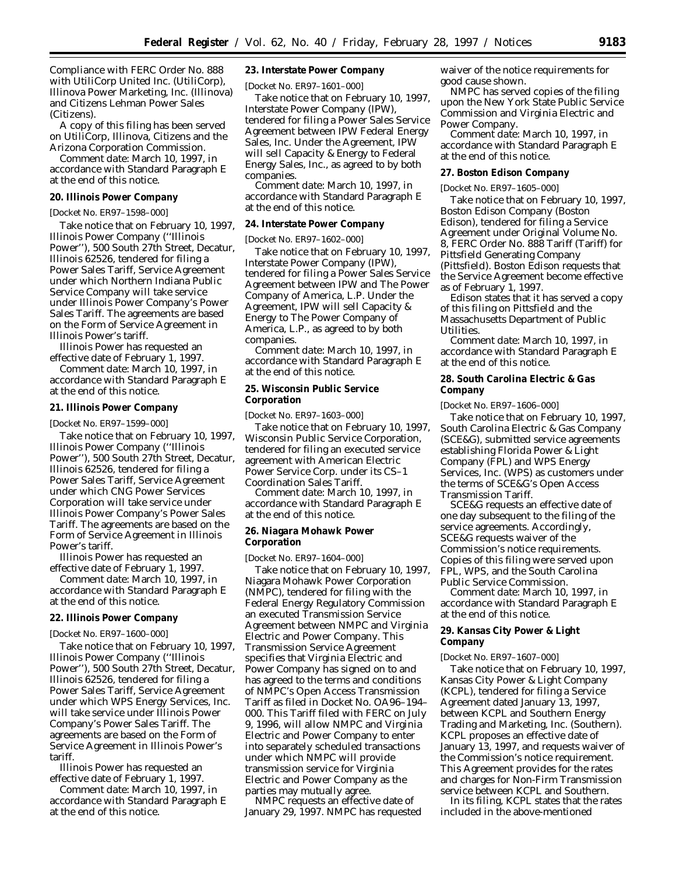Compliance with FERC Order No. 888 with UtiliCorp United Inc. (UtiliCorp), Illinova Power Marketing, Inc. (Illinova) and Citizens Lehman Power Sales (Citizens).

A copy of this filing has been served on UtiliCorp, Illinova, Citizens and the Arizona Corporation Commission.

*Comment date:* March 10, 1997, in accordance with Standard Paragraph E at the end of this notice.

#### **20. Illinois Power Company**

[Docket No. ER97–1598–000]

Take notice that on February 10, 1997, Illinois Power Company (''Illinois Power''), 500 South 27th Street, Decatur, Illinois 62526, tendered for filing a Power Sales Tariff, Service Agreement under which Northern Indiana Public Service Company will take service under Illinois Power Company's Power Sales Tariff. The agreements are based on the Form of Service Agreement in Illinois Power's tariff.

Illinois Power has requested an effective date of February 1, 1997.

*Comment date:* March 10, 1997, in accordance with Standard Paragraph E at the end of this notice.

#### **21. Illinois Power Company**

[Docket No. ER97–1599–000]

Take notice that on February 10, 1997, Illinois Power Company (''Illinois Power''), 500 South 27th Street, Decatur, Illinois 62526, tendered for filing a Power Sales Tariff, Service Agreement under which CNG Power Services Corporation will take service under Illinois Power Company's Power Sales Tariff. The agreements are based on the Form of Service Agreement in Illinois Power's tariff.

Illinois Power has requested an effective date of February 1, 1997.

*Comment date:* March 10, 1997, in accordance with Standard Paragraph E at the end of this notice.

### **22. Illinois Power Company**

[Docket No. ER97–1600–000]

Take notice that on February 10, 1997, Illinois Power Company (''Illinois Power''), 500 South 27th Street, Decatur, Illinois 62526, tendered for filing a Power Sales Tariff, Service Agreement under which WPS Energy Services, Inc. will take service under Illinois Power Company's Power Sales Tariff. The agreements are based on the Form of Service Agreement in Illinois Power's tariff.

Illinois Power has requested an effective date of February 1, 1997.

*Comment date:* March 10, 1997, in accordance with Standard Paragraph E at the end of this notice.

**23. Interstate Power Company**

[Docket No. ER97–1601–000]

Take notice that on February 10, 1997, Interstate Power Company (IPW), tendered for filing a Power Sales Service Agreement between IPW Federal Energy Sales, Inc. Under the Agreement, IPW will sell Capacity & Energy to Federal Energy Sales, Inc., as agreed to by both companies.

*Comment date:* March 10, 1997, in accordance with Standard Paragraph E at the end of this notice.

### **24. Interstate Power Company**

[Docket No. ER97–1602–000]

Take notice that on February 10, 1997, Interstate Power Company (IPW), tendered for filing a Power Sales Service Agreement between IPW and The Power Company of America, L.P. Under the Agreement, IPW will sell Capacity & Energy to The Power Company of America, L.P., as agreed to by both companies.

*Comment date:* March 10, 1997, in accordance with Standard Paragraph E at the end of this notice.

## **25. Wisconsin Public Service Corporation**

[Docket No. ER97–1603–000]

Take notice that on February 10, 1997, Wisconsin Public Service Corporation, tendered for filing an executed service agreement with American Electric Power Service Corp. under its CS–1 Coordination Sales Tariff.

*Comment date:* March 10, 1997, in accordance with Standard Paragraph E at the end of this notice.

#### **26. Niagara Mohawk Power Corporation**

[Docket No. ER97–1604–000]

Take notice that on February 10, 1997, Niagara Mohawk Power Corporation (NMPC), tendered for filing with the Federal Energy Regulatory Commission an executed Transmission Service Agreement between NMPC and Virginia Electric and Power Company. This Transmission Service Agreement specifies that Virginia Electric and Power Company has signed on to and has agreed to the terms and conditions of NMPC's Open Access Transmission Tariff as filed in Docket No. OA96–194– 000. This Tariff filed with FERC on July 9, 1996, will allow NMPC and Virginia Electric and Power Company to enter into separately scheduled transactions under which NMPC will provide transmission service for Virginia Electric and Power Company as the parties may mutually agree.

NMPC requests an effective date of January 29, 1997. NMPC has requested

waiver of the notice requirements for good cause shown.

NMPC has served copies of the filing upon the New York State Public Service Commission and Virginia Electric and Power Company.

*Comment date:* March 10, 1997, in accordance with Standard Paragraph E at the end of this notice.

# **27. Boston Edison Company**

[Docket No. ER97–1605–000]

Take notice that on February 10, 1997, Boston Edison Company (Boston Edison), tendered for filing a Service Agreement under Original Volume No. 8, FERC Order No. 888 Tariff (Tariff) for Pittsfield Generating Company (Pittsfield). Boston Edison requests that the Service Agreement become effective as of February 1, 1997.

Edison states that it has served a copy of this filing on Pittsfield and the Massachusetts Department of Public Utilities.

*Comment date:* March 10, 1997, in accordance with Standard Paragraph E at the end of this notice.

**28. South Carolina Electric & Gas Company**

[Docket No. ER97–1606–000]

Take notice that on February 10, 1997, South Carolina Electric & Gas Company (SCE&G), submitted service agreements establishing Florida Power & Light Company (FPL) and WPS Energy Services, Inc. (WPS) as customers under the terms of SCE&G's Open Access Transmission Tariff.

SCE&G requests an effective date of one day subsequent to the filing of the service agreements. Accordingly, SCE&G requests waiver of the Commission's notice requirements. Copies of this filing were served upon FPL, WPS, and the South Carolina Public Service Commission.

*Comment date:* March 10, 1997, in accordance with Standard Paragraph E at the end of this notice.

# **29. Kansas City Power & Light Company**

[Docket No. ER97–1607–000]

Take notice that on February 10, 1997, Kansas City Power & Light Company (KCPL), tendered for filing a Service Agreement dated January 13, 1997, between KCPL and Southern Energy Trading and Marketing, Inc. (Southern). KCPL proposes an effective date of January 13, 1997, and requests waiver of the Commission's notice requirement. This Agreement provides for the rates and charges for Non-Firm Transmission service between KCPL and Southern.

In its filing, KCPL states that the rates included in the above-mentioned